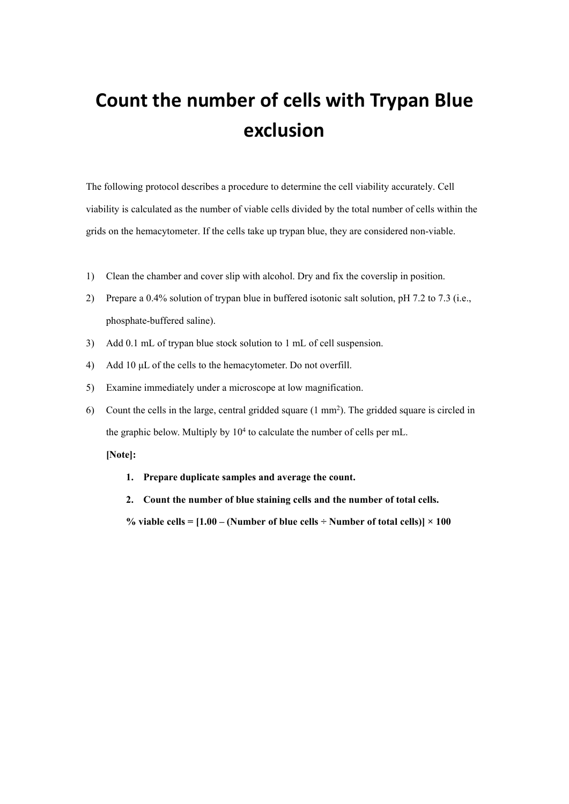## **Count the number of cells with Trypan Blue exclusion**

The following protocol describes a procedure to determine the cell viability accurately. Cell viability is calculated as the number of viable cells divided by the total number of cells within the grids on the hemacytometer. If the cells take up trypan blue, they are considered non-viable.<br>1) Clean the chamber and cover slip with alcohol. Dry and fix the coverslip in position.

- 
- 2) Prepare a 0.4% solution of trypan blue in buffered isotonic salt solution, pH 7.2 to 7.3 (i.e., phosphate-buffered saline).
- 3) Add 0.1 mL of trypan blue stock solution to 1 mL of cell suspension.
- 4) Add 10 μL of the cells to the hemacytometer. Do not overfill.
- 5) Examine immediately under a microscope at low magnification.
- 6) Count the cells in the large, central gridded square  $(1 \text{ mm}^2)$ . The gridded square is circled in the graphic below. Multiply by 10 4 to calculate the number of cells per mL.

**[Note]:**

- **1. Prepare duplicate samples and average the count.**
- **2. Count the number of blue staining cellsand the number of total cells.**

% viable cells =  $[1.00 - (Number of blue cells \div Number of total cells)] \times 100$